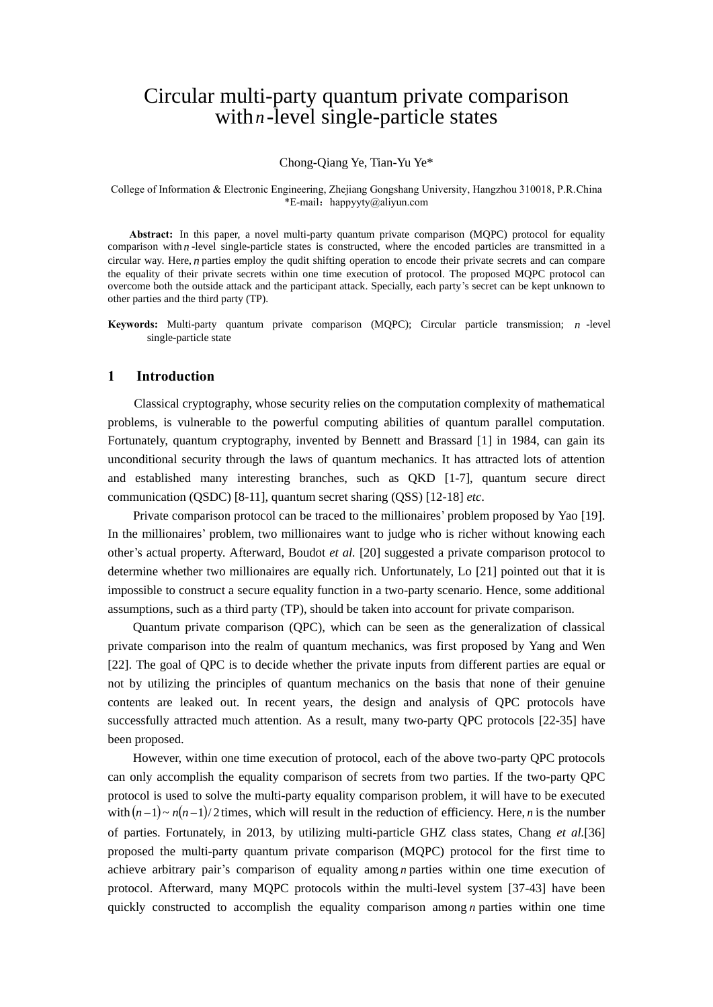# Circular multi-party quantum private comparison with  $n$ -level single-particle states

#### Chong-Qiang Ye, Tian-Yu Ye\*

#### College of Information & Electronic Engineering, Zhejiang Gongshang University, Hangzhou 310018, P.R.China \*E-mail:[happyyty@aliyun.com](mailto:happyyty@aliyun.com(T.Y.Ye))

**Abstract:** In this paper, a novel multi-party quantum private comparison (MQPC) protocol for equality comparison with  $n$ -level single-particle states is constructed, where the encoded particles are transmitted in a circular way. Here, *<sup>n</sup>* parties employ the qudit shifting operation to encode their private secrets and can compare the equality of their private secrets within one time execution of protocol. The proposed MQPC protocol can overcome both the outside attack and the participant attack. Specially, each party's secret can be kept unknown to other parties and the third party (TP).

**Keywords:** Multi-party quantum private comparison (MQPC); Circular particle transmission; *<sup>n</sup>* -level single-particle state

# **1 Introduction**

Classical cryptography, whose security relies on the computation complexity of mathematical problems, is vulnerable to the powerful computing abilities of quantum parallel computation. Fortunately, quantum cryptography, invented by Bennett and Brassard [1] in 1984, can gain its unconditional security through the laws of quantum mechanics. It has attracted lots of attention and established many interesting branches, such as QKD [1-7], quantum secure direct communication (QSDC) [8-11], quantum secret sharing (QSS) [12-18] *etc*.

 Private comparison protocol can be traced to the millionaires' problem proposed by Yao [19]. In the millionaires' problem, two millionaires want to judge who is richer without knowing each other's actual property. Afterward, Boudot *et al.* [20] suggested a private comparison protocol to determine whether two millionaires are equally rich. Unfortunately, Lo [21] pointed out that it is impossible to construct a secure equality function in a two-party scenario. Hence, some additional assumptions, such as a third party (TP), should be taken into account for private comparison.

Quantum private comparison (QPC), which can be seen as the generalization of classical private comparison into the realm of quantum mechanics, was first proposed by Yang and Wen [22]. The goal of QPC is to decide whether the private inputs from different parties are equal or not by utilizing the principles of quantum mechanics on the basis that none of their genuine contents are leaked out. In recent years, the design and analysis of QPC protocols have successfully attracted much attention. As a result, many two-party QPC protocols [22-35] have been proposed.

However, within one time execution of protocol, each of the above two-party QPC protocols can only accomplish the equality comparison of secrets from two parties. If the two-party QPC protocol is used to solve the multi-party equality comparison problem, it will have to be executed with  $(n-1) \sim n(n-1)/2$  times, which will result in the reduction of efficiency. Here, *n* is the number of parties. Fortunately, in 2013, by utilizing multi-particle GHZ class states, Chang *et al.*[36] proposed the multi-party quantum private comparison (MQPC) protocol for the first time to achieve arbitrary pair's comparison of equality among *n* parties within one time execution of protocol. Afterward, many MQPC protocols within the multi-level system [37-43] have been quickly constructed to accomplish the equality comparison among *n* parties within one time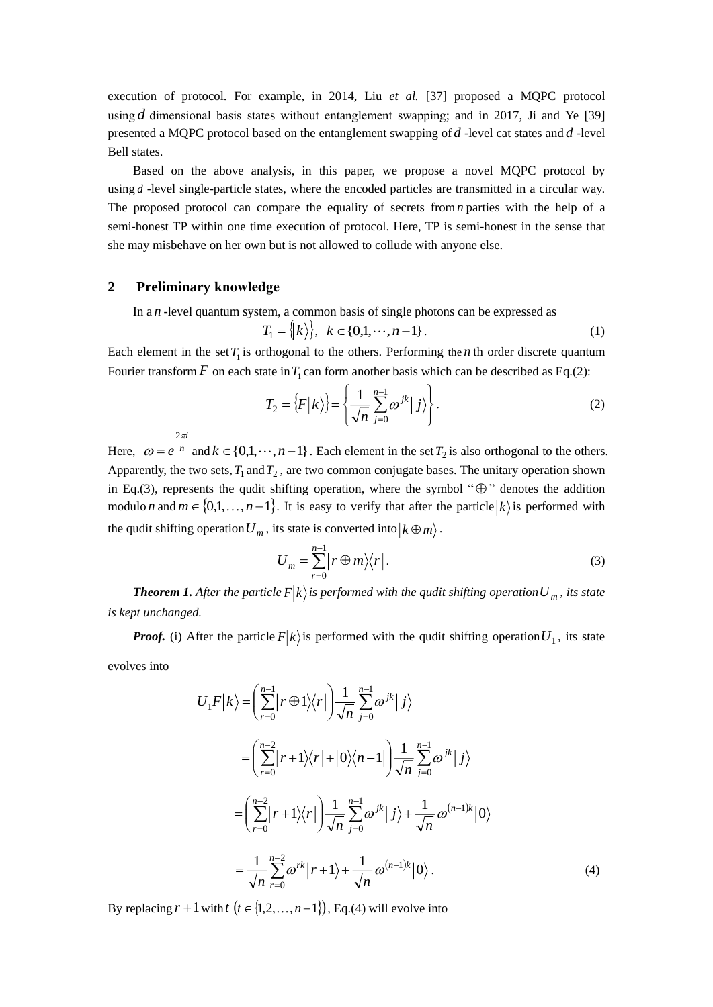execution of protocol. For example, in 2014, Liu *et al.* [37] proposed a MQPC protocol using  $d$  dimensional basis states without entanglement swapping; and in 2017, Ji and Ye [39] presented a MQPC protocol based on the entanglement swapping of *d* -level cat states and *d* -level Bell states.

Based on the above analysis, in this paper, we propose a novel MQPC protocol by using *d* -level single-particle states, where the encoded particles are transmitted in a circular way. The proposed protocol can compare the equality of secrets from *n* parties with the help of a semi-honest TP within one time execution of protocol. Here, TP is semi-honest in the sense that she may misbehave on her own but is not allowed to collude with anyone else.

# **2 Preliminary knowledge**

*i*

π

2

In a *<sup>n</sup>* -level quantum system, a common basis of single photons can be expressed as

$$
T_1 = \{ \mid k \rangle \}, \quad k \in \{0, 1, \dots, n - 1 \} \,.
$$

Each element in the set  $T_1$  is orthogonal to the others. Performing the *n* th order discrete quantum Fourier transform F on each state in  $T_1$  can form another basis which can be described as Eq.(2):

$$
T_2 = \left\{ F \middle| k \right\} = \left\{ \frac{1}{\sqrt{n}} \sum_{j=0}^{n-1} \omega^{jk} \middle| j \right\}. \tag{2}
$$

Here,  $\omega = e^{-n}$ *e*  $\omega$  $= e^{-n}$  and  $k \in \{0,1,\dots,n-1\}$ . Each element in the set  $T_2$  is also orthogonal to the others. Apparently, the two sets,  $T_1$  and  $T_2$ , are two common conjugate bases. The unitary operation shown in Eq.(3), represents the qudit shifting operation, where the symbol " $\oplus$ " denotes the addition modulo *n* and  $m \in \{0,1,\ldots,n-1\}$ . It is easy to verify that after the particle  $|k\rangle$  is performed with the qudit shifting operation  $U_m$ , its state is converted into  $k \oplus m$ .

$$
U_m = \sum_{r=0}^{n-1} \left| r \oplus m \right\rangle \left\langle r \right|.
$$
 (3)

*Theorem 1. After the particle*  $F|k\rangle$  is performed with the qudit shifting operation  $U_m$ , its state *is kept unchanged.*

*Proof.* (i) After the particle  $F|k\rangle$  is performed with the qudit shifting operation  $U_1$ , its state evolves into

$$
U_1 F|k\rangle = \left(\sum_{r=0}^{n-1} |r \oplus 1\rangle\langle r|\right) \frac{1}{\sqrt{n}} \sum_{j=0}^{n-1} \omega^{jk} |j\rangle
$$
  
\n
$$
= \left(\sum_{r=0}^{n-2} |r+1\rangle\langle r| + |0\rangle\langle n-1|\right) \frac{1}{\sqrt{n}} \sum_{j=0}^{n-1} \omega^{jk} |j\rangle
$$
  
\n
$$
= \left(\sum_{r=0}^{n-2} |r+1\rangle\langle r|\right) \frac{1}{\sqrt{n}} \sum_{j=0}^{n-1} \omega^{jk} |j\rangle + \frac{1}{\sqrt{n}} \omega^{(n-1)k} |0\rangle
$$
  
\n
$$
= \frac{1}{\sqrt{n}} \sum_{r=0}^{n-2} \omega^{rk} |r+1\rangle + \frac{1}{\sqrt{n}} \omega^{(n-1)k} |0\rangle.
$$
 (4)

By replacing  $r + 1$  with  $t$   $(t \in \{1, 2, ..., n-1\})$ , Eq.(4) will evolve into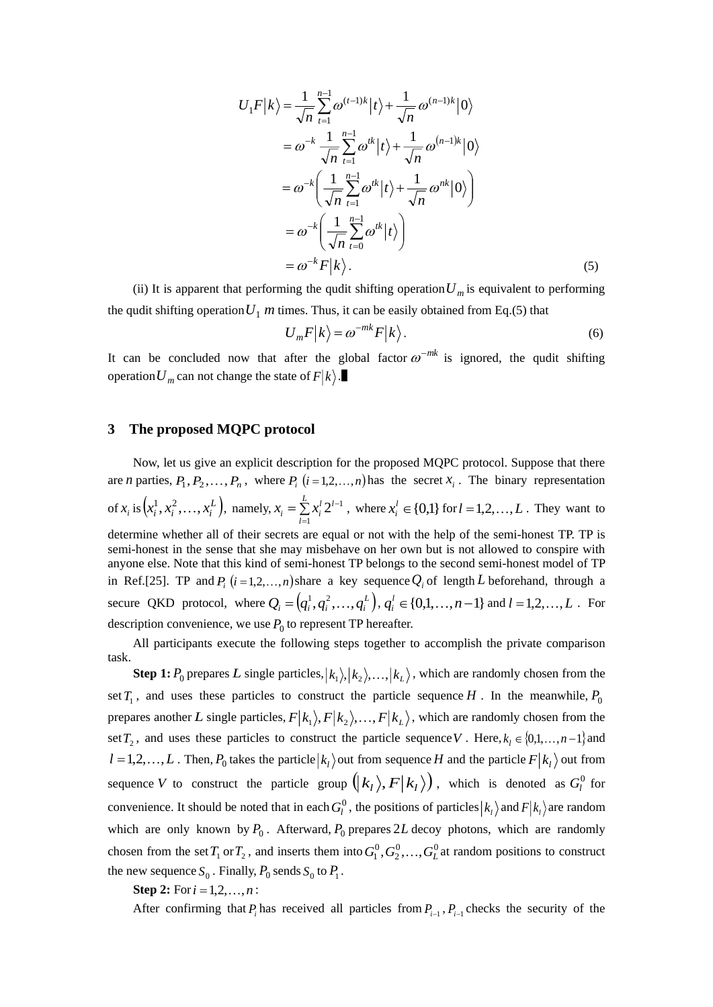$$
U_1 F|k\rangle = \frac{1}{\sqrt{n}} \sum_{t=1}^{n-1} \omega^{(t-1)k} |t\rangle + \frac{1}{\sqrt{n}} \omega^{(n-1)k} |0\rangle
$$
  
\n
$$
= \omega^{-k} \frac{1}{\sqrt{n}} \sum_{t=1}^{n-1} \omega^{tk} |t\rangle + \frac{1}{\sqrt{n}} \omega^{(n-1)k} |0\rangle
$$
  
\n
$$
= \omega^{-k} \left( \frac{1}{\sqrt{n}} \sum_{t=1}^{n-1} \omega^{tk} |t\rangle + \frac{1}{\sqrt{n}} \omega^{nk} |0\rangle \right)
$$
  
\n
$$
= \omega^{-k} \left( \frac{1}{\sqrt{n}} \sum_{t=0}^{n-1} \omega^{tk} |t\rangle \right)
$$
  
\n
$$
= \omega^{-k} F|k\rangle.
$$
 (5)

(ii) It is apparent that performing the qudit shifting operation  $U_m$  is equivalent to performing the qudit shifting operation  $U_1$  *m* times. Thus, it can be easily obtained from Eq.(5) that

$$
U_m F|k\rangle = \omega^{-mk} F|k\rangle.
$$
 (6)

It can be concluded now that after the global factor  $\omega^{-mk}$  is ignored, the qudit shifting operation  $U_m$  can not change the state of  $F|k\rangle$ .

## **3 The proposed MQPC protocol**

Now, let us give an explicit description for the proposed MQPC protocol. Suppose that there are *n* parties,  $P_1, P_2, \ldots, P_n$ , where  $P_i$  (*i*=1,2,...,*n*) has the secret  $x_i$ . The binary representation of  $x_i$  is  $(x_i^1, x_i^2, ..., x_i^L)$ ,  $(x_i^1, x_i^2, ..., x_i^L)$ , namely,  $x_i = \sum_{i=1}^{L} x_i^i 2^{L-i}$ *l l l*  $x_i = \sum_i x_i$ 1  $2^{l-1}$ , where  $x_i^l \in \{0,1\}$  $x_i^l \in \{0,1\}$  for  $l = 1,2,...,L$ . They want to determine whether all of their secrets are equal or not with the help of the semi-honest TP. TP is semi-honest in the sense that she may misbehave on her own but is not allowed to conspire with anyone else. Note that this kind of semi-honest TP belongs to the second semi-honest model of TP in Ref.[25]. TP and  $P_i$  ( $i = 1, 2, ..., n$ ) share a key sequence  $Q_i$  of length L beforehand, through a secure QKD protocol, where  $Q_i = (q_i^1, q_i^2, ..., q_i^L), q_i^l \in \{0, 1, ..., n-1\}$  $a_i^l \in \{0,1,\ldots,n-1\}$  and  $l = 1,2,\ldots,L$ . For description convenience, we use  $P_0$  to represent TP hereafter.

All participants execute the following steps together to accomplish the private comparison task.

**Step 1:**  $P_0$  prepares L single particles,  $|k_1\rangle$ ,  $|k_2\rangle$ , ...,  $|k_L\rangle$ , which are randomly chosen from the set  $T_1$ , and uses these particles to construct the particle sequence *H*. In the meanwhile,  $P_0$ prepares another L single particles,  $F|k_1\rangle$ ,  $F|k_2\rangle$ , ...,  $F|k_L\rangle$ , which are randomly chosen from the set  $T_2$ , and uses these particles to construct the particle sequence V. Here,  $k_l \in \{0,1,\ldots,n-1\}$  and  $l = 1, 2, \ldots, L$ . Then,  $P_0$  takes the particle  $|k_l\rangle$  out from sequence *H* and the particle  $F|k_l\rangle$  out from sequence V to construct the particle group  $(|k_1\rangle, F|k_1\rangle)$ , which is denoted as  $G_l^0$  for convenience. It should be noted that in each  $G_l^0$ , the positions of particles  $|k_l\rangle$  and  $F|k_l\rangle$  are random which are only known by  $P_0$ . Afterward,  $P_0$  prepares 2L decoy photons, which are randomly chosen from the set  $T_1$  or  $T_2$ , and inserts them into  $G_1^0, G_2^0, \ldots, G_L^0$  at random positions to construct the new sequence  $S_0$ . Finally,  $P_0$  sends  $S_0$  to  $P_1$ .

**Step 2:** For  $i = 1, 2, ..., n$ :

After confirming that  $P_i$  has received all particles from  $P_{i-1}$ ,  $P_{i-1}$  checks the security of the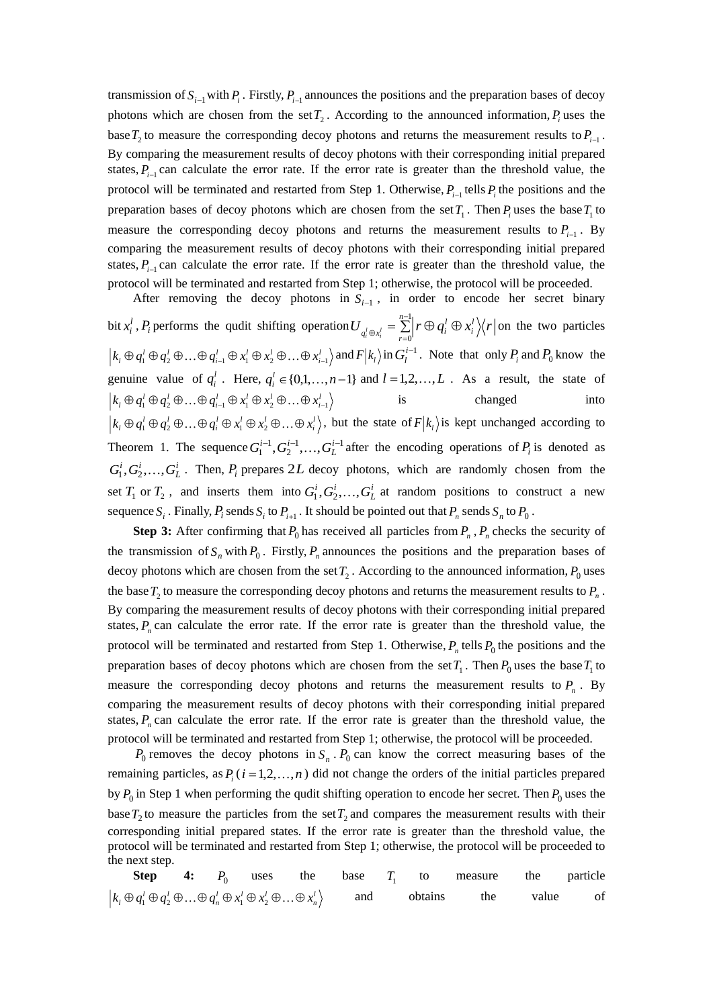transmission of  $S_{i-1}$  with  $P_i$ . Firstly,  $P_{i-1}$  announces the positions and the preparation bases of decoy photons which are chosen from the set  $T_2$ . According to the announced information,  $P_i$  uses the base  $T_2$  to measure the corresponding decoy photons and returns the measurement results to  $P_{i-1}$ . By comparing the measurement results of decoy photons with their corresponding initial prepared states,  $P_{i-1}$  can calculate the error rate. If the error rate is greater than the threshold value, the protocol will be terminated and restarted from Step 1. Otherwise,  $P_{i-1}$  tells  $P_i$  the positions and the preparation bases of decoy photons which are chosen from the set  $T_1$ . Then  $P_i$  uses the base  $T_1$  to measure the corresponding decoy photons and returns the measurement results to  $P_{i-1}$ . By comparing the measurement results of decoy photons with their corresponding initial prepared states,  $P_{i-1}$  can calculate the error rate. If the error rate is greater than the threshold value, the protocol will be terminated and restarted from Step 1; otherwise, the protocol will be proceeded.

After removing the decoy photons in  $S_{i-1}$ , in order to encode her secret binary bit  $x_i^l$  $x_i^l$ ,  $P_i$  performs the qudit shifting operation  $U_{a^l \oplus x_i^l} = \sum_{l=1}^{n-1} \left| r \oplus q_i^l \oplus q_i^l \right|$ ⊕ 1 0  $\sum_{n=1}^{n-1}$   $\cap$   $\infty$   $\infty$ *r i l*  $U_{q_i^l \oplus x_i^l} = \sum_{i=0}^{l} r \oplus q_i^l \oplus x_i^l \Bigl( \Bigl( r \Bigr)$  on the two particles  $k_l \oplus q_1^l \oplus q_2^l \oplus \ldots \oplus q_{i-1}^l \oplus x_1^l \oplus x_2^l \oplus \ldots \oplus x_{i-1}^l$  and  $F|k_l\rangle$  in  $G_l^{i-1}$ . Note that only  $P_i$  and  $P_0$  know the genuine value of  $q_i^l$ . Here,  $q_i^l \in \{0,1,\ldots,n-1\}$  and  $l=1,2,\ldots,L$ . As a result, the state of  $k_l \oplus q_1^l \oplus q_2^l \oplus ... \oplus q_{i-1}^l \oplus x_1^l \oplus x_2^l \oplus ... \oplus x_{i-1}^l$ is changed into  $k_1 \oplus q_1^1 \oplus q_2^1 \oplus ... \oplus q_i^1 \oplus x_1^1 \oplus x_2^1 \oplus ... \oplus x_i^1$ , but the state of  $F|k_1\rangle$  is kept unchanged according to Theorem 1. The sequence  $G_1^{i-1}, G_2^{i-1}, \ldots, G_L^{i-1}$  after the encoding operations of  $P_i$  is denoted as  $G_1^i, G_2^i, \ldots, G_L^i$ . Then,  $P_i$  prepares 2*L* decoy photons, which are randomly chosen from the set  $T_1$  or  $T_2$ , and inserts them into  $G_1^i, G_2^i, \ldots, G_L^i$  at random positions to construct a new sequence  $S_i$ . Finally,  $P_i$  sends  $S_i$  to  $P_{i+1}$ . It should be pointed out that  $P_n$  sends  $S_n$  to  $P_0$ .

**Step 3:** After confirming that  $P_0$  has received all particles from  $P_n$ ,  $P_n$  checks the security of the transmission of  $S_n$  with  $P_0$ . Firstly,  $P_n$  announces the positions and the preparation bases of decoy photons which are chosen from the set  $T_2$ . According to the announced information,  $P_0$  uses the base  $T_2$  to measure the corresponding decoy photons and returns the measurement results to  $P_n$ . By comparing the measurement results of decoy photons with their corresponding initial prepared states,  $P_n$  can calculate the error rate. If the error rate is greater than the threshold value, the protocol will be terminated and restarted from Step 1. Otherwise,  $P_n$  tells  $P_0$  the positions and the preparation bases of decoy photons which are chosen from the set  $T_1$ . Then  $P_0$  uses the base  $T_1$  to measure the corresponding decoy photons and returns the measurement results to  $P_n$ . By comparing the measurement results of decoy photons with their corresponding initial prepared states,  $P_n$  can calculate the error rate. If the error rate is greater than the threshold value, the protocol will be terminated and restarted from Step 1; otherwise, the protocol will be proceeded.

 $P_0$  removes the decoy photons in  $S_n$ .  $P_0$  can know the correct measuring bases of the remaining particles, as  $P_i$  ( $i = 1, 2, ..., n$ ) did not change the orders of the initial particles prepared by  $P_0$  in Step 1 when performing the qudit shifting operation to encode her secret. Then  $P_0$  uses the base  $T_2$  to measure the particles from the set  $T_2$  and compares the measurement results with their corresponding initial prepared states. If the error rate is greater than the threshold value, the protocol will be terminated and restarted from Step 1; otherwise, the protocol will be proceeded to the next step.

**Step 4:**  $P_0$ uses the base *T*1 to measure the particle  $k_l \oplus q_1^l \oplus q_2^l \oplus ... \oplus q_n^l \oplus x_1^l \oplus x_2^l \oplus ... \oplus x_n^l$ and obtains the value of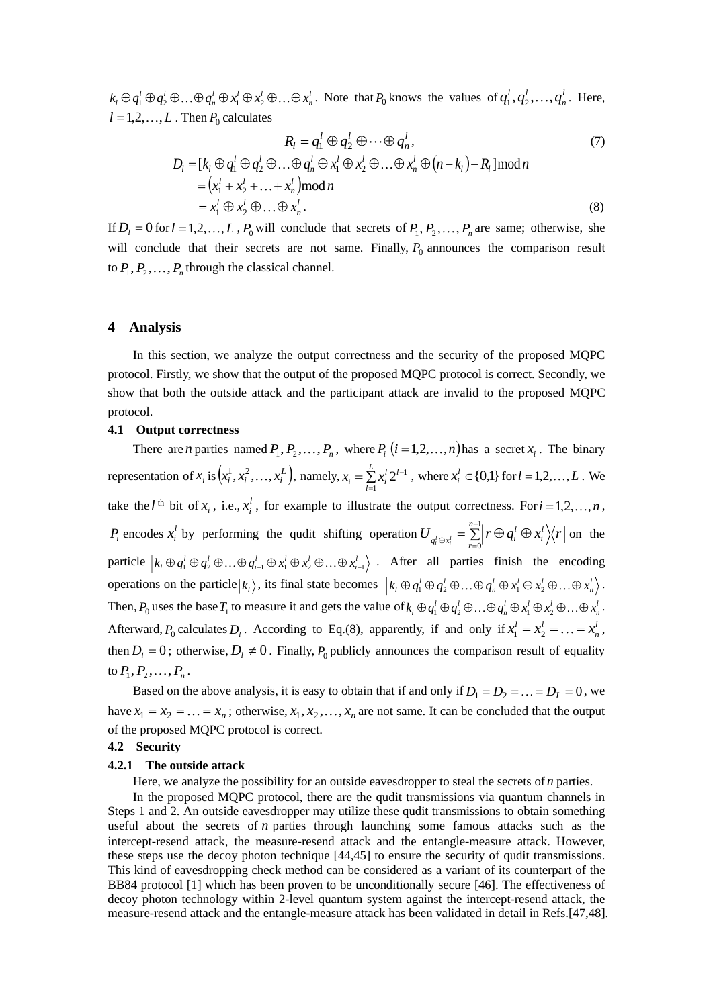$k_l \oplus q_1^l \oplus q_2^l \oplus \ldots \oplus q_n^l \oplus x_1^l \oplus x_2^l \oplus \ldots \oplus x_n^l$ . Note that  $P_0$  knows the values of  $q_1^l, q_2^l, \ldots, q_n^l$ *n*  $q_1^l, q_2^l, \ldots, q_n^l$ . Here,  $l = 1, 2, \ldots, L$ . Then  $P_0$  calculates

$$
R_{l} = q_{1}^{l} \oplus q_{2}^{l} \oplus \cdots \oplus q_{n}^{l},
$$
  
\n
$$
D_{l} = [k_{l} \oplus q_{1}^{l} \oplus q_{2}^{l} \oplus \cdots \oplus q_{n}^{l} \oplus x_{1}^{l} \oplus x_{2}^{l} \oplus \cdots \oplus x_{n}^{l} \oplus (n-k_{l}) - R_{l}] \bmod n
$$
  
\n
$$
= (x_{1}^{l} + x_{2}^{l} + \cdots + x_{n}^{l}) \bmod n
$$
  
\n
$$
= x_{1}^{l} \oplus x_{2}^{l} \oplus \cdots \oplus x_{n}^{l}.
$$
  
\n(8)

If  $D_l = 0$  for  $l = 1, 2, ..., L$ ,  $P_0$  will conclude that secrets of  $P_1, P_2, ..., P_n$  are same; otherwise, she will conclude that their secrets are not same. Finally,  $P_0$  announces the comparison result to  $P_1, P_2, \ldots, P_n$  through the classical channel.

#### **4 Analysis**

In this section, we analyze the output correctness and the security of the proposed MQPC protocol. Firstly, we show that the output of the proposed MQPC protocol is correct. Secondly, we show that both the outside attack and the participant attack are invalid to the proposed MQPC protocol.

# **4.1 Output correctness**

There are *n* parties named  $P_1, P_2, \ldots, P_n$ , where  $P_i$   $(i = 1, 2, \ldots, n)$  has a secret  $x_i$ . The binary representation of  $x_i$  is  $\left( x_i^1, x_i^2, ..., x_i^L \right)$ , namely,  $x_i = \sum L x_i^l 2^{l-1}$ =*l*  $x_i = \sum x_i^l 2^l$ 1  $2^{l-1}$ , where  $x_i^l \in \{0,1\}$  $x_i^l \in \{0,1\}$  for  $l = 1,2,...,L$ . We take the  $l^{\text{th}}$  bit of  $x_i$ , i.e.,  $x_i^l$  $x_i^i$ , for example to illustrate the output correctness. For  $i = 1, 2, ..., n$ ,  $P_i$  encodes  $x_i^l$  $x_i^l$  by performing the qudit shifting operation  $U_{a^l \oplus x^l} = \sum_{l=1}^{n-1} r \oplus q_i^l \oplus$  $\oplus x_i'$   $\qquad \qquad \underset{r=1}{\leftarrow}$ particle  $|k_1 \oplus q_1^l \oplus q_2^l \oplus ... \oplus q_{l-1}^l \oplus x_1^l \oplus x_2^l \oplus ... \oplus x_{l-1}^l$ . After all parties finish the encoding 1 0 *n r i*  $U_{q_i^l \oplus x_i^l} = \sum_{i=0}^l r \oplus q_i^l \oplus x_i^l \Big\langle r \Big|$  on the operations on the particle  $|k_1\rangle$ , its final state becomes  $|k_1 \oplus q_1^1 \oplus q_2^1 \oplus ... \oplus q_n^1 \oplus x_1^1 \oplus x_2^1 \oplus ... \oplus x_n^1 \rangle$ . Then,  $P_0$  uses the base  $T_1$  to measure it and gets the value of  $k_1 \oplus q_1^l \oplus q_2^l \oplus ... \oplus q_n^l \oplus x_1^l \oplus x_2^l \oplus ... \oplus x_n^l$ . Afterward,  $P_0$  calculates  $D_i$ . According to Eq.(8), apparently, if and only if  $x_1^i = x_2^i = \ldots = x_i^i$ *n*  $x_1^l = x_2^l = \ldots = x_n^l$ , then  $D_l = 0$ ; otherwise,  $D_l \neq 0$ . Finally,  $P_0$  publicly announces the comparison result of equality to  $P_1, P_2, \ldots, P_n$ .

Based on the above analysis, it is easy to obtain that if and only if  $D_1 = D_2 = ... = D_L = 0$ , we have  $x_1 = x_2 = \ldots = x_n$ ; otherwise,  $x_1, x_2, \ldots, x_n$  are not same. It can be concluded that the output of the proposed MQPC protocol is correct.

# **4.2 Security**

#### **4.2.1 The outside attack**

Here, we analyze the possibility for an outside eavesdropper to steal the secrets of *n* parties.

In the proposed MQPC protocol, there are the qudit transmissions via quantum channels in Steps 1 and 2. An outside eavesdropper may utilize these qudit transmissions to obtain something useful about the secrets of *n* parties through launching some famous attacks such as the intercept-resend attack, the measure-resend attack and the entangle-measure attack. However, these steps use the decoy photon technique [44,45] to ensure the security of qudit transmissions. This kind of eavesdropping check method can be considered as a variant of its counterpart of the BB84 protocol [1] which has been proven to be unconditionally secure [46]. The effectiveness of decoy photon technology within 2-level quantum system against the intercept-resend attack, the measure-resend attack and the entangle-measure attack has been validated in detail in Refs.[47,48].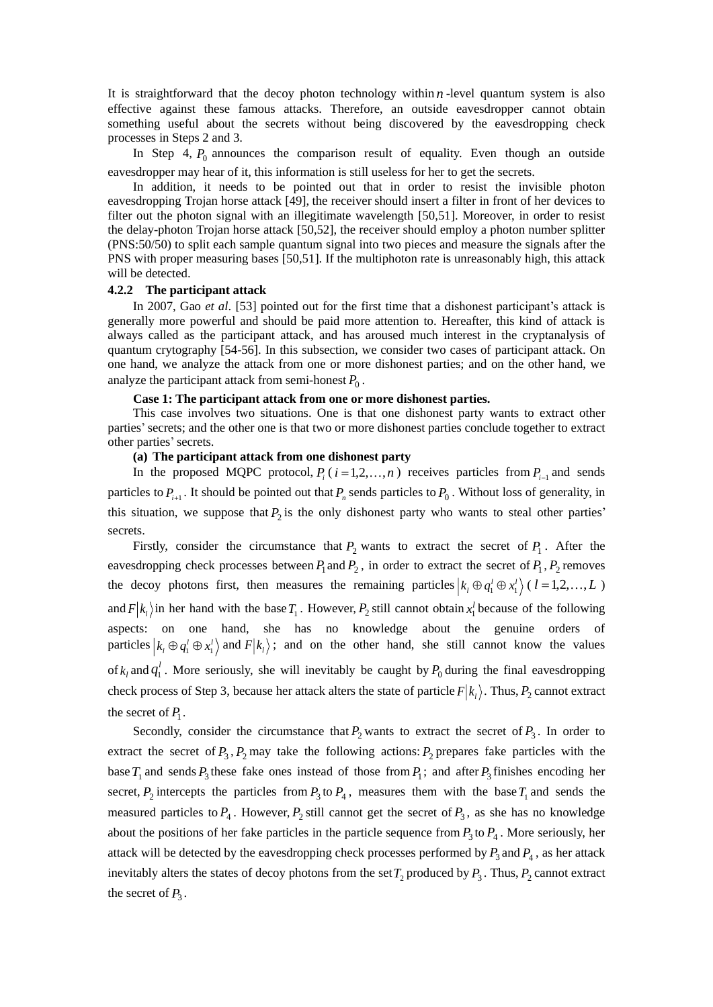It is straightforward that the decoy photon technology within  $n$ -level quantum system is also effective against these famous attacks. Therefore, an outside eavesdropper cannot obtain something useful about the secrets without being discovered by the eavesdropping check processes in Steps 2 and 3.

In Step 4,  $P_0$  announces the comparison result of equality. Even though an outside eavesdropper may hear of it, this information is still useless for her to get the secrets.

In addition, it needs to be pointed out that in order to resist the invisible photon eavesdropping Trojan horse attack [49], the receiver should insert a filter in front of her devices to filter out the photon signal with an illegitimate wavelength [50,51]. Moreover, in order to resist the delay-photon Trojan horse attack [50,52], the receiver should employ a photon number splitter (PNS:50/50) to split each sample quantum signal into two pieces and measure the signals after the PNS with proper measuring bases [50,51]. If the multiphoton rate is unreasonably high, this attack will be detected.

#### **4.2.2 The participant attack**

In 2007, Gao *et al*. [53] pointed out for the first time that a dishonest participant's attack is generally more powerful and should be paid more attention to. Hereafter, this kind of attack is always called as the participant attack, and has aroused much interest in the cryptanalysis of quantum crytography [54-56]. In this subsection, we consider two cases of participant attack. On one hand, we analyze the attack from one or more dishonest parties; and on the other hand, we analyze the participant attack from semi-honest  $P_0$ .

#### **Case 1: The participant attack from one or more dishonest parties.**

This case involves two situations. One is that one dishonest party wants to extract other parties'secrets; and the other one is that two or more dishonest parties conclude together to extract other parties'secrets.

# **(a) The participant attack from one dishonest party**

In the proposed MQPC protocol,  $P_i$  ( $i = 1, 2, ..., n$ ) receives particles from  $P_{i-1}$  and sends particles to  $P_{i+1}$ . It should be pointed out that  $P_n$  sends particles to  $P_0$ . Without loss of generality, in this situation, we suppose that  $P_2$  is the only dishonest party who wants to steal other parties' secrets.

Firstly, consider the circumstance that  $P_2$  wants to extract the secret of  $P_1$ . After the eavesdropping check processes between  $P_1$  and  $P_2$ , in order to extract the secret of  $P_1$ ,  $P_2$  removes the decoy photons first, then measures the remaining particles  $\vert k_1 \oplus q_1^l \oplus x_1^l \rangle$  ( $l = 1, 2, ..., L$ ) and  $F|k_1\rangle$  in her hand with the base  $T_1$ . However,  $P_2$  still cannot obtain  $x_1^l$  because of the following aspects: on one hand, she has no knowledge about the genuine orders of particles  $|k_i \oplus q_1^i \oplus x_1^i\rangle$  and  $F|k_i\rangle$ ; and on the other hand, she still cannot know the values of  $k_l$  and  $q_1^l$ . More seriously, she will inevitably be caught by  $P_0$  during the final eavesdropping check process of Step 3, because her attack alters the state of particle  $F|k_1\rangle$ . Thus,  $P_2$  cannot extract the secret of  $P_1$ .

Secondly, consider the circumstance that  $P_2$  wants to extract the secret of  $P_3$ . In order to extract the secret of  $P_3$ ,  $P_2$  may take the following actions:  $P_2$  prepares fake particles with the base  $T_1$  and sends  $P_3$  these fake ones instead of those from  $P_1$ ; and after  $P_3$  finishes encoding her secret,  $P_2$  intercepts the particles from  $P_3$  to  $P_4$ , measures them with the base  $T_1$  and sends the measured particles to  $P_4$ . However,  $P_2$  still cannot get the secret of  $P_3$ , as she has no knowledge about the positions of her fake particles in the particle sequence from  $P_3$  to  $P_4$ . More seriously, her attack will be detected by the eavesdropping check processes performed by  $P_3$  and  $P_4$ , as her attack inevitably alters the states of decoy photons from the set  $T_2$  produced by  $P_3$ . Thus,  $P_2$  cannot extract the secret of  $P_3$ .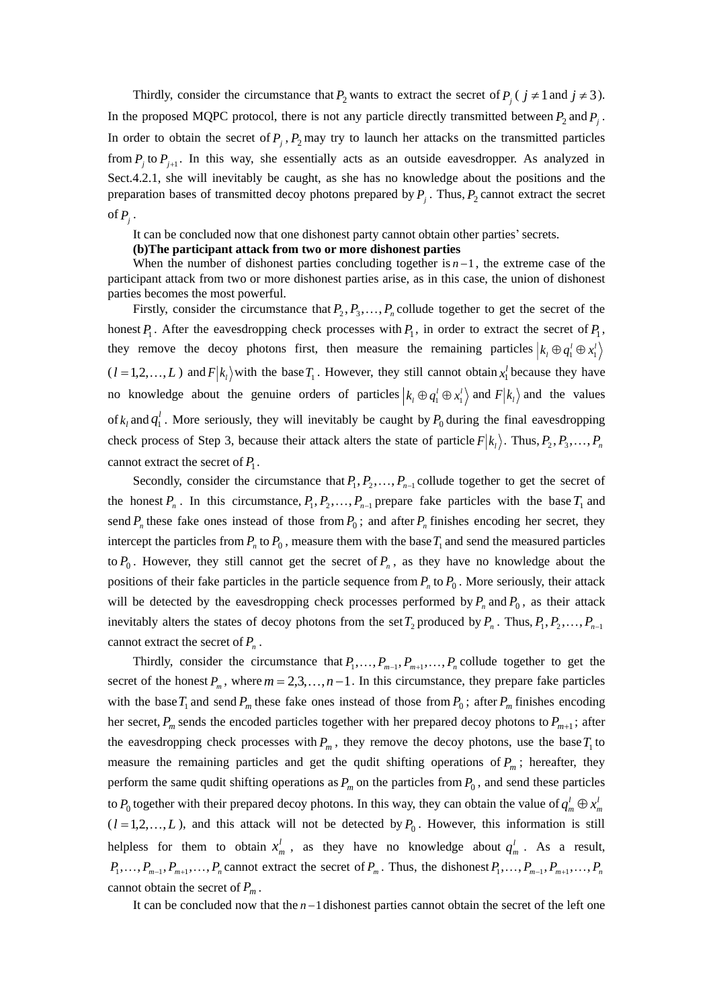Thirdly, consider the circumstance that  $P_2$  wants to extract the secret of  $P_j$  ( $j \neq 1$  and  $j \neq 3$ ). In the proposed MQPC protocol, there is not any particle directly transmitted between  $P_2$  and  $P_j$ . In order to obtain the secret of  $P_j$ ,  $P_2$  may try to launch her attacks on the transmitted particles from  $P_j$  to  $P_{j+1}$ . In this way, she essentially acts as an outside eavesdropper. As analyzed in Sect.4.2.1, she will inevitably be caught, as she has no knowledge about the positions and the preparation bases of transmitted decoy photons prepared by  $P_j$ . Thus,  $P_2$  cannot extract the secret of  $P_j$ .

It can be concluded now that one dishonest party cannot obtain other parties'secrets.

#### **(b)The participant attack from two or more dishonest parties**

When the number of dishonest parties concluding together is  $n-1$ , the extreme case of the participant attack from two or more dishonest parties arise, as in this case, the union of dishonest parties becomes the most powerful.

Firstly, consider the circumstance that  $P_2, P_3, \ldots, P_n$  collude together to get the secret of the honest  $P_1$ . After the eavesdropping check processes with  $P_1$ , in order to extract the secret of  $P_1$ , they remove the decoy photons first, then measure the remaining particles  $k_l \oplus q_1^l \oplus x_1^l$  $(l = 1, 2, \ldots, L)$  and  $F|k_l\rangle$  with the base  $T_1$ . However, they still cannot obtain  $x_l^l$  because they have no knowledge about the genuine orders of particles  $|k_1 \oplus q_1^l \oplus x_1^l\rangle$  and  $F|k_1\rangle$  and the values of  $k_l$  and  $q_1^l$ . More seriously, they will inevitably be caught by  $P_0$  during the final eavesdropping check process of Step 3, because their attack alters the state of particle  $F|k_1\rangle$ . Thus,  $P_2, P_3, \ldots, P_n$ cannot extract the secret of  $P_1$ .

Secondly, consider the circumstance that  $P_1, P_2, \ldots, P_{n-1}$  collude together to get the secret of the honest  $P_n$ . In this circumstance,  $P_1, P_2, \ldots, P_{n-1}$  prepare fake particles with the base  $T_1$  and send  $P_n$  these fake ones instead of those from  $P_0$ ; and after  $P_n$  finishes encoding her secret, they intercept the particles from  $P_n$  to  $P_0$ , measure them with the base  $T_1$  and send the measured particles to  $P_0$ . However, they still cannot get the secret of  $P_n$ , as they have no knowledge about the positions of their fake particles in the particle sequence from  $P_n$  to  $P_0$ . More seriously, their attack will be detected by the eavesdropping check processes performed by  $P_n$  and  $P_0$ , as their attack inevitably alters the states of decoy photons from the set  $T_2$  produced by  $P_n$ . Thus,  $P_1, P_2, \ldots, P_{n-1}$ cannot extract the secret of *Pn* .

Thirdly, consider the circumstance that  $P_1, \ldots, P_{m-1}, P_{m+1}, \ldots, P_n$  collude together to get the secret of the honest  $P_m$ , where  $m = 2,3,...,n-1$ . In this circumstance, they prepare fake particles with the base  $T_1$  and send  $P_m$  these fake ones instead of those from  $P_0$ ; after  $P_m$  finishes encoding her secret,  $P_m$  sends the encoded particles together with her prepared decoy photons to  $P_{m+1}$ ; after the eavesdropping check processes with  $P_m$ , they remove the decoy photons, use the base  $T_1$  to measure the remaining particles and get the qudit shifting operations of  $P_m$ ; hereafter, they perform the same qudit shifting operations as  $P_m$  on the particles from  $P_0$ , and send these particles to  $P_0$  together with their prepared decoy photons. In this way, they can obtain the value of  $q_m^l \oplus x_r^l$ *m*  $q_m^l$   $\oplus x$  $(l = 1, 2, \dots, L)$ , and this attack will not be detected by  $P_0$ . However, this information is still helpless for them to obtain  $x'$  $x_m^l$ , as they have no knowledge about  $q_m^l$ . As a result,  $P_1, \ldots, P_{m-1}, P_{m+1}, \ldots, P_n$  cannot extract the secret of  $P_m$ . Thus, the dishonest  $P_1, \ldots, P_{m-1}, P_{m+1}, \ldots, P_n$ cannot obtain the secret of  $P_m$ .

It can be concluded now that the *<sup>n</sup>* <sup>−</sup>1 dishonest parties cannot obtain the secret of the left one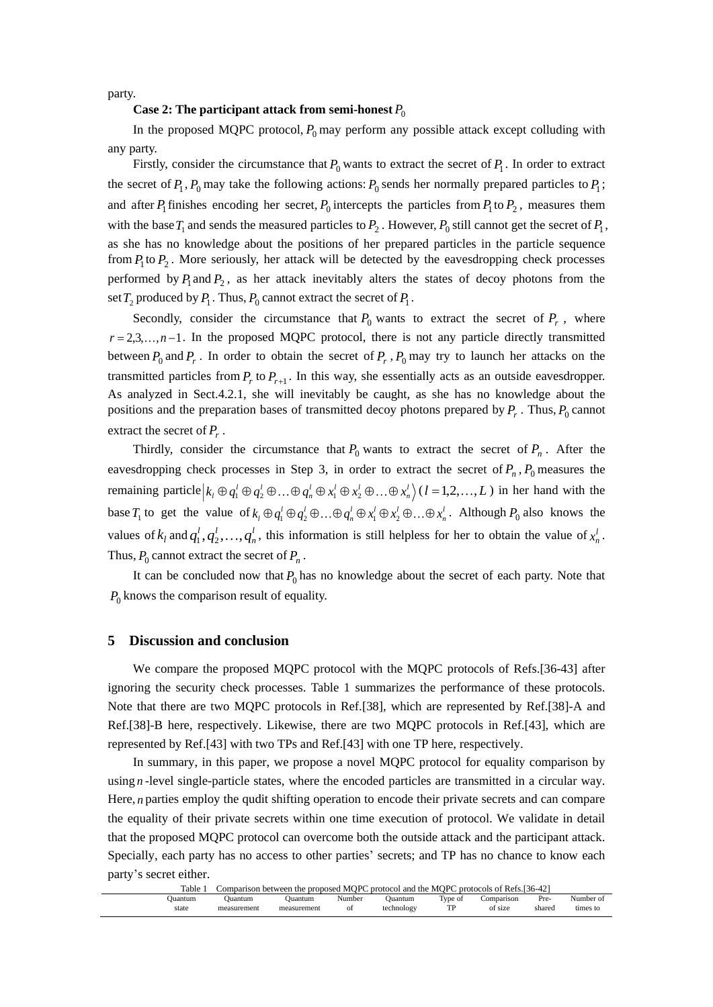party.

# **Case 2: The participant attack from semi-honest**  $P_0$

In the proposed MQPC protocol,  $P_0$  may perform any possible attack except colluding with any party.

Firstly, consider the circumstance that  $P_0$  wants to extract the secret of  $P_1$ . In order to extract the secret of  $P_1$ ,  $P_0$  may take the following actions:  $P_0$  sends her normally prepared particles to  $P_1$ ; and after  $P_1$  finishes encoding her secret,  $P_0$  intercepts the particles from  $P_1$  to  $P_2$ , measures them with the base  $T_1$  and sends the measured particles to  $P_2$ . However,  $P_0$  still cannot get the secret of  $P_1$ , as she has no knowledge about the positions of her prepared particles in the particle sequence from  $P_1$  to  $P_2$ . More seriously, her attack will be detected by the eavesdropping check processes performed by  $P_1$  and  $P_2$ , as her attack inevitably alters the states of decoy photons from the set  $T_2$  produced by  $P_1$ . Thus,  $P_0$  cannot extract the secret of  $P_1$ .

Secondly, consider the circumstance that  $P_0$  wants to extract the secret of  $P_r$ , where  $r = 2,3,...,n-1$ . In the proposed MQPC protocol, there is not any particle directly transmitted between  $P_0$  and  $P_r$ . In order to obtain the secret of  $P_r$ ,  $P_0$  may try to launch her attacks on the transmitted particles from  $P_r$  to  $P_{r+1}$ . In this way, she essentially acts as an outside eavesdropper. As analyzed in Sect.4.2.1, she will inevitably be caught, as she has no knowledge about the positions and the preparation bases of transmitted decoy photons prepared by  $P_r$ . Thus,  $P_0$  cannot extract the secret of *Pr* .

Thirdly, consider the circumstance that  $P_0$  wants to extract the secret of  $P_n$ . After the eavesdropping check processes in Step 3, in order to extract the secret of  $P_n$ ,  $P_0$  measures the remaining particle  $k_l \oplus q_1^l \oplus q_2^l \oplus ... \oplus q_n^l \oplus x_1^l \oplus x_2^l \oplus ... \oplus x_n^l$   $(l = 1, 2, ..., L)$  in her hand with the base  $T_1$  to get the value of  $k_1 \oplus q_1^l \oplus q_2^l \oplus ... \oplus q_n^l \oplus x_1^l \oplus x_2^l \oplus ... \oplus x_n^l$ . Although  $P_0$  also knows the values of  $k_l$  and  $q_1^l, q_2^l, \ldots, q_l^l$  $q_1^l, q_2^l, \ldots, q_n^l$ , this information is still helpless for her to obtain the value of  $x_n^l$ . Thus,  $P_0$  cannot extract the secret of  $P_n$ .

It can be concluded now that  $P_0$  has no knowledge about the secret of each party. Note that  $P_0$  knows the comparison result of equality.

#### **5 Discussion and conclusion**

We compare the proposed MQPC protocol with the MQPC protocols of Refs.[36-43] after ignoring the security check processes. Table 1 summarizes the performance of these protocols. Note that there are two MQPC protocols in Ref.[38], which are represented by Ref.[38]-A and Ref.[38]-B here, respectively. Likewise, there are two MQPC protocols in Ref.[43], which are represented by Ref.[43] with two TPs and Ref.[43] with one TP here, respectively.

In summary, in this paper, we propose a novel MQPC protocol for equality comparison by using *n*-level single-particle states, where the encoded particles are transmitted in a circular way. Here, *n* parties employ the qudit shifting operation to encode their private secrets and can compare the equality of their private secrets within one time execution of protocol. We validate in detail that the proposed MQPC protocol can overcome both the outside attack and the participant attack. Specially, each party has no access to other parties' secrets; and TP has no chance to know each party's secret either.

| Table   |             | Comparison between the proposed MOPC protocol and the MOPC<br>$[36-42]$<br>C protocols of Refs.[ |        |            |                      |            |        |           |  |  |
|---------|-------------|--------------------------------------------------------------------------------------------------|--------|------------|----------------------|------------|--------|-----------|--|--|
| Juantum | Juantum     | Juantum                                                                                          | Number | Ouantum    | Type of<br><b>TD</b> | comparison | Pre-   | Number of |  |  |
| state   | measurement | measurement                                                                                      | Οİ     | technology |                      | of size    | shared | times to  |  |  |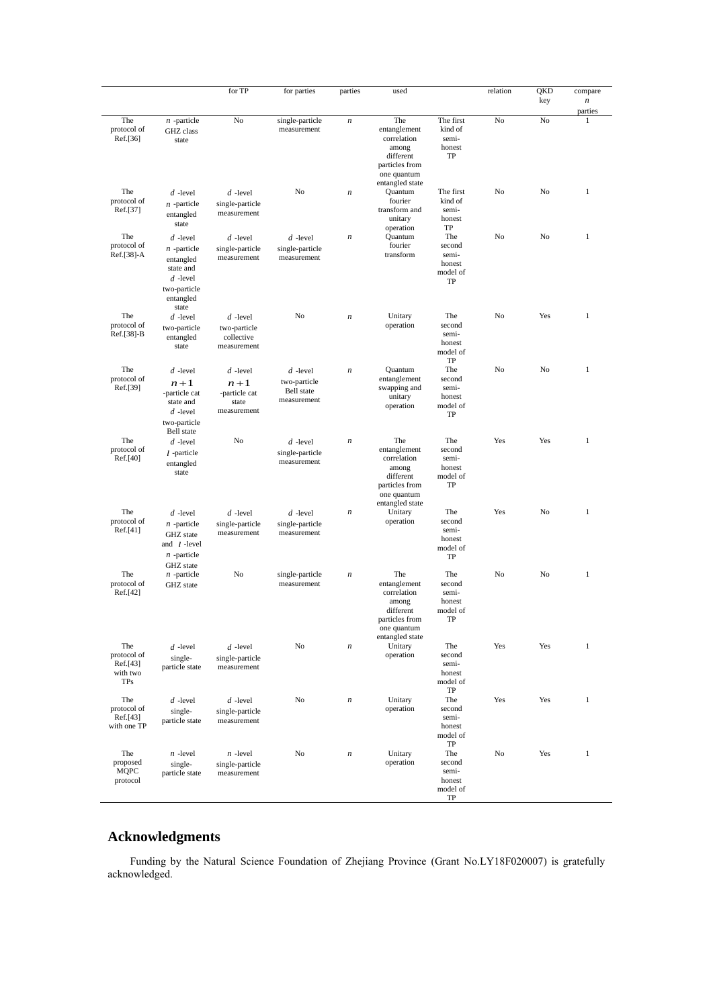|                                                          |                                                                                                           | for TP                                                       | for parties                                                    | parties          | used                                                                                                         |                                                    | relation | QKD<br>key | compare<br>$\boldsymbol{n}$<br>parties |
|----------------------------------------------------------|-----------------------------------------------------------------------------------------------------------|--------------------------------------------------------------|----------------------------------------------------------------|------------------|--------------------------------------------------------------------------------------------------------------|----------------------------------------------------|----------|------------|----------------------------------------|
| The<br>protocol of<br>Ref.[36]                           | $n$ -particle<br>GHZ class<br>state                                                                       | No                                                           | single-particle<br>measurement                                 | $\boldsymbol{n}$ | The<br>entanglement<br>correlation<br>among<br>different<br>particles from<br>one quantum                    | The first<br>kind of<br>semi-<br>honest<br>TP      | No       | No         | $\mathbf{1}$                           |
| The<br>protocol of<br>Ref.[37]                           | $d$ -level<br>$n$ -particle<br>entangled<br>state                                                         | $d$ -level<br>single-particle<br>measurement                 | No                                                             | $\boldsymbol{n}$ | entangled state<br>Quantum<br>fourier<br>transform and<br>unitary<br>operation                               | The first<br>kind of<br>semi-<br>honest<br>TP      | No       | No         | $\mathbf{1}$                           |
| The<br>protocol of<br>Ref.[38]-A                         | $d$ -level<br>$n$ -particle<br>entangled<br>state and<br>$d$ -level<br>two-particle<br>entangled<br>state | $d$ -level<br>single-particle<br>measurement                 | $d$ -level<br>single-particle<br>measurement                   | $\boldsymbol{n}$ | Quantum<br>fourier<br>transform                                                                              | The<br>second<br>semi-<br>honest<br>model of<br>TP | No       | No         | $\mathbf{1}$                           |
| The<br>protocol of<br>Ref.[38]-B                         | $d$ -level<br>two-particle<br>entangled<br>state                                                          | $d$ -level<br>two-particle<br>collective<br>measurement      | No                                                             | $\boldsymbol{n}$ | Unitary<br>operation                                                                                         | The<br>second<br>semi-<br>honest<br>model of<br>TP | No       | Yes        | 1                                      |
| The<br>protocol of<br>Ref.[39]                           | $d$ -level<br>$n+1$<br>-particle cat<br>state and<br>$d$ -level<br>two-particle                           | $d$ -level<br>$n+1$<br>-particle cat<br>state<br>measurement | $d$ -level<br>two-particle<br><b>Bell</b> state<br>measurement | $\boldsymbol{n}$ | Quantum<br>entanglement<br>swapping and<br>unitary<br>operation                                              | The<br>second<br>semi-<br>honest<br>model of<br>TP | No       | No         | 1                                      |
| The<br>protocol of<br>Ref.[40]                           | <b>Bell</b> state<br>$d$ -level<br>$l$ -particle<br>entangled<br>state                                    | No                                                           | $d$ -level<br>single-particle<br>measurement                   | $\boldsymbol{n}$ | The<br>entanglement<br>correlation<br>among<br>different<br>particles from<br>one quantum                    | The<br>second<br>semi-<br>honest<br>model of<br>TP | Yes      | Yes        | 1                                      |
| The<br>protocol of<br>Ref.[41]                           | $d$ -level<br>$n$ -particle<br>GHZ state<br>and $l$ -level<br>$n$ -particle<br>GHZ state                  | $d$ -level<br>single-particle<br>measurement                 | $d$ -level<br>single-particle<br>measurement                   | $\boldsymbol{n}$ | entangled state<br>Unitary<br>operation                                                                      | The<br>second<br>semi-<br>honest<br>model of<br>TP | Yes      | No         | 1                                      |
| The<br>protocol of<br>Ref.[42]                           | $n$ -particle<br>GHZ state                                                                                | No                                                           | single-particle<br>measurement                                 | $\boldsymbol{n}$ | The<br>entanglement<br>correlation<br>among<br>different<br>particles from<br>one quantum<br>entangled state | The<br>second<br>semi-<br>honest<br>model of<br>TP | No       | No         | 1                                      |
| The<br>protocol of<br>Ref.[43]<br>with two<br><b>TPs</b> | $d$ -level<br>single-<br>particle state                                                                   | $d$ -level<br>single-particle<br>measurement                 | No                                                             | $\boldsymbol{n}$ | Unitary<br>operation                                                                                         | The<br>second<br>semi-<br>honest<br>model of<br>TP | Yes      | Yes        | 1                                      |
| The<br>protocol of<br>Ref.[43]<br>with one TP            | $d$ -level<br>single-<br>particle state                                                                   | $d$ -level<br>single-particle<br>measurement                 | No                                                             | $\boldsymbol{n}$ | Unitary<br>operation                                                                                         | The<br>second<br>semi-<br>honest<br>model of<br>TP | Yes      | Yes        | $\mathbf{1}$                           |
| The<br>proposed<br><b>MQPC</b><br>protocol               | $n$ -level<br>single-<br>particle state                                                                   | $n$ -level<br>single-particle<br>measurement                 | No                                                             | $\boldsymbol{n}$ | Unitary<br>operation                                                                                         | The<br>second<br>semi-<br>honest<br>model of<br>TP | No       | Yes        | $\mathbf{1}$                           |

# **Acknowledgments**

Funding by the Natural Science Foundation of Zhejiang Province (Grant No.LY18F020007) is gratefully acknowledged.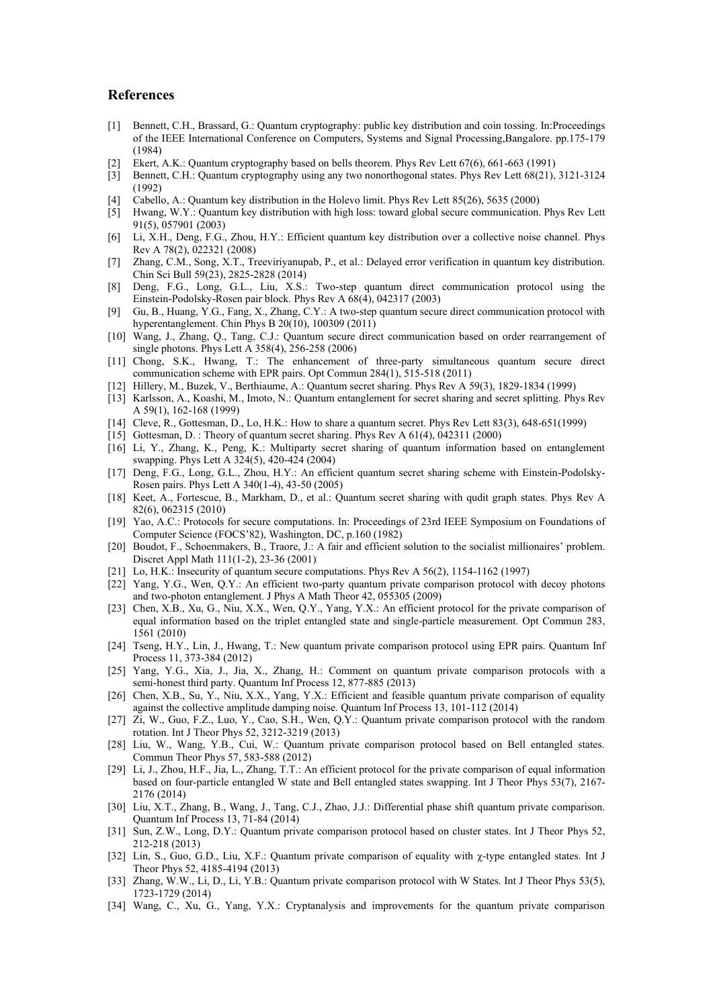## **References**

- [1] Bennett, C.H., Brassard, G.: Quantum cryptography: public key distribution and coin tossing. In:Proceedings of the IEEE International Conference on Computers, Systems and Signal Processing,Bangalore. pp.175-179 (1984)
- [2] Ekert, A.K.: Quantum cryptography based on bells theorem. Phys Rev Lett 67(6), 661-663 (1991)
- [3] Bennett, C.H.: Quantum cryptography using any two nonorthogonal states. Phys Rev Lett 68(21), 3121-3124 (1992)
- [4] Cabello, A.: Quantum key distribution in the Holevo limit. Phys Rev Lett 85(26), 5635 (2000)
- [5] Hwang, W.Y.: Quantum key distribution with high loss: toward global secure communication. Phys Rev Lett 91(5), 057901 (2003)
- [6] Li, X.H., Deng, F.G., Zhou, H.Y.: Efficient quantum key distribution over a collective noise channel. Phys Rev A 78(2), 022321 (2008)
- [7] Zhang, C.M., Song, X.T., Treeviriyanupab, P., et al.: Delayed error verification in quantum key distribution. Chin Sci Bull 59(23), 2825-2828 (2014)
- [8] Deng, F.G., Long, G.L., Liu, X.S.: Two-step quantum direct communication protocol using the Einstein-Podolsky-Rosen pair block. Phys Rev A 68(4), 042317 (2003)
- [9] Gu, B., Huang, Y.G., Fang, X., Zhang, C.Y.: A two-step quantum secure direct communication protocol with hyperentanglement. Chin Phys B 20(10), 100309 (2011)
- [10] Wang, J., Zhang, Q., Tang, C.J.: Quantum secure direct communication based on order rearrangement of single photons. Phys Lett A 358(4), 256-258 (2006)
- [11] Chong, S.K., Hwang, T.: The enhancement of three-party simultaneous quantum secure direct communication scheme with EPR pairs. Opt Commun 284(1), 515-518 (2011)
- [12] Hillery, M., Buzek, V., Berthiaume, A.: Quantum secret sharing. Phys Rev A 59(3), 1829-1834 (1999)
- [13] Karlsson, A., Koashi, M., Imoto, N.: Quantum entanglement for secret sharing and secret splitting. Phys Rev A 59(1), 162-168 (1999)
- [14] Cleve, R., Gottesman, D., Lo, H.K.: How to share a quantum secret. Phys Rev Lett 83(3), 648-651(1999)
- [15] Gottesman, D. : Theory of quantum secret sharing. Phys Rev A 61(4), 042311 (2000) [16] Li, Y., Zhang, K., Peng, K.: Multiparty secret sharing of quantum information based on entanglement
- swapping. Phys Lett A 324(5), 420-424 (2004)
- [17] Deng, F.G., Long, G.L., Zhou, H.Y.: An efficient quantum secret sharing scheme with Einstein-Podolsky-Rosen pairs. Phys Lett A 340(1-4), 43-50 (2005)
- [18] Keet, A., Fortescue, B., Markham, D., et al.: Quantum secret sharing with qudit graph states. Phys Rev A 82(6), 062315 (2010)
- [19] Yao, A.C.: Protocols for secure computations. In: Proceedings of 23rd IEEE Symposium on Foundations of Computer Science (FOCS'82), Washington, DC, p.160 (1982)
- [20] Boudot, F., Schoenmakers, B., Traore, J.: A fair and efficient solution to the socialist millionaires' problem. Discret Appl Math 111(1-2), 23-36 (2001)
- [21] Lo, H.K.: Insecurity of quantum secure computations. Phys Rev A 56(2), 1154-1162 (1997)
- [22] Yang, Y.G., Wen, Q.Y.: An efficient two-party quantum private comparison protocol with decoy photons and two-photon entanglement. J Phys A Math Theor 42, 055305 (2009)
- [23] Chen, X.B., Xu, G., Niu, X.X., Wen, Q.Y., Yang, Y.X.: An efficient protocol for the private comparison of equal information based on the triplet entangled state and single-particle measurement. Opt Commun 283, 1561 (2010)
- [24] Tseng, H.Y., Lin, J., Hwang, T.: New quantum private comparison protocol using EPR pairs. Quantum Inf Process 11, 373-384 (2012)
- [25] Yang, Y.G., Xia, J., Jia, X., Zhang, H.: Comment on quantum private comparison protocols with a semi-honest third party. Quantum Inf Process 12, 877-885 (2013)
- [26] Chen, X.B., Su, Y., Niu, X.X., Yang, Y.X.: Efficient and feasible quantum private comparison of equality against the collective amplitude damping noise. Quantum Inf Process 13, 101-112 (2014)
- [27] Zi, W., Guo, F.Z., Luo, Y., Cao, S.H., Wen, Q.Y.: Quantum private comparison protocol with the random rotation. Int J Theor Phys 52, 3212-3219 (2013)
- [28] Liu, W., Wang, Y.B., Cui, W.: Quantum private comparison protocol based on Bell entangled states. Commun Theor Phys 57, 583-588 (2012)
- [29] Li, J., Zhou, H.F., Jia, L., Zhang, T.T.: An efficient protocol for the private comparison of equal information based on four-particle entangled W state and Bell entangled states swapping. Int J Theor Phys 53(7), 2167- 2176 (2014)
- [30] Liu, X.T., Zhang, B., Wang, J., Tang, C.J., Zhao, J.J.: Differential phase shift quantum private comparison. Quantum Inf Process 13, 71-84 (2014)
- [31] Sun, Z.W., Long, D.Y.: Quantum private comparison protocol based on cluster states. Int J Theor Phys 52, 212-218 (2013)
- [32] Lin, S., Guo, G.D., Liu, X.F.: Quantum private comparison of equality with χ-type entangled states. Int J Theor Phys 52, 4185-4194 (2013)
- [33] Zhang, W.W., Li, D., Li, Y.B.: Quantum private comparison protocol with W States. Int J Theor Phys 53(5), 1723-1729 (2014)
- [34] Wang, C., Xu, G., Yang, Y.X.: Cryptanalysis and improvements for the quantum private comparison